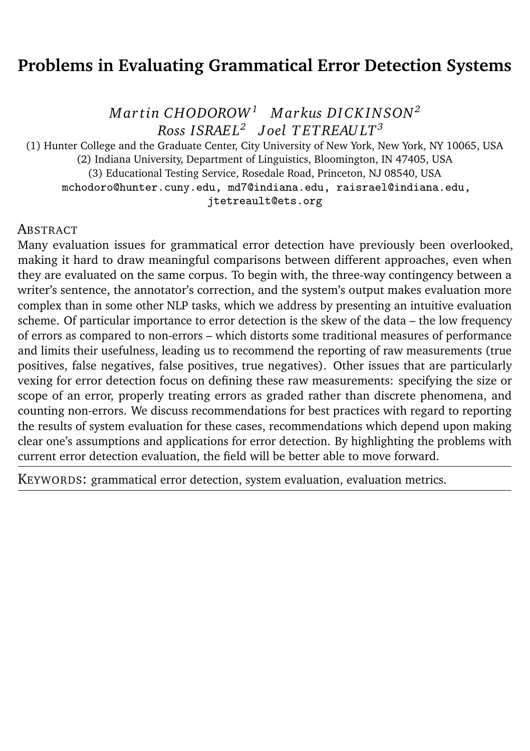# <span id="page-0-0"></span>**Problems in Evaluating Grammatical Error Detection Systems**

*M ar tin CHODOROW<sup>1</sup> M arkus DI CK IN SON<sup>2</sup> Ross ISRAE L<sup>2</sup> J oel T ETREAU LT<sup>3</sup>*

(1) Hunter College and the Graduate Center, City University of New York, New York, NY 10065, USA (2) Indiana University, Department of Linguistics, Bloomington, IN 47405, USA (3) Educational Testing Service, Rosedale Road, Princeton, NJ 08540, USA mchodoro@hunter.cuny.edu, md7@indiana.edu, raisrael@indiana.edu, jtetreault@ets.org

#### **ABSTRACT**

Many evaluation issues for grammatical error detection have previously been overlooked, making it hard to draw meaningful comparisons between different approaches, even when they are evaluated on the same corpus. To begin with, the three-way contingency between a writer's sentence, the annotator's correction, and the system's output makes evaluation more complex than in some other NLP tasks, which we address by presenting an intuitive evaluation scheme. Of particular importance to error detection is the skew of the data – the low frequency of errors as compared to non-errors – which distorts some traditional measures of performance and limits their usefulness, leading us to recommend the reporting of raw measurements (true positives, false negatives, false positives, true negatives). Other issues that are particularly vexing for error detection focus on defining these raw measurements: specifying the size or scope of an error, properly treating errors as graded rather than discrete phenomena, and counting non-errors. We discuss recommendations for best practices with regard to reporting the results of system evaluation for these cases, recommendations which depend upon making clear one's assumptions and applications for error detection. By highlighting the problems with current error detection evaluation, the field will be better able to move forward.

KEYWORDS: grammatical error detection, system evaluation, evaluation metrics.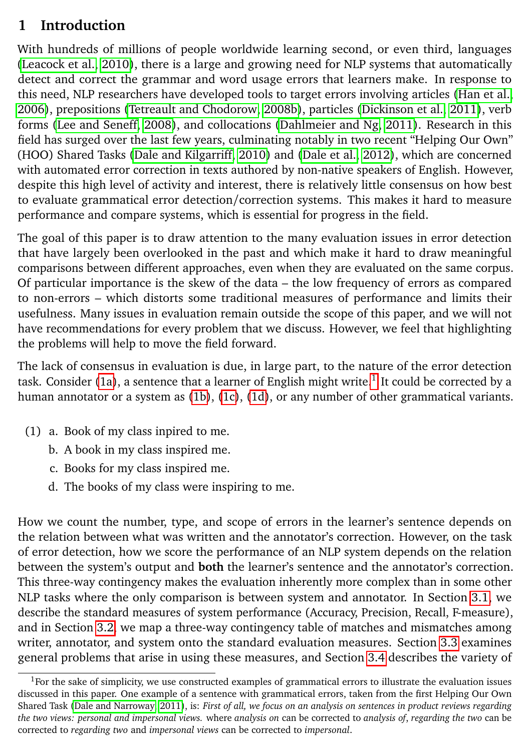## **1 Introduction**

With hundreds of millions of people worldwide learning second, or even third, languages [\(Leacock et al., 2010\)](#page-14-0), there is a large and growing need for NLP systems that automatically detect and correct the grammar and word usage errors that learners make. In response to this need, NLP researchers have developed tools to target errors involving articles [\(Han et al.,](#page-14-1) [2006\)](#page-14-1), prepositions [\(Tetreault and Chodorow, 2008b\)](#page-16-0), particles [\(Dickinson et al., 2011\)](#page-13-0), verb forms [\(Lee and Seneff, 2008\)](#page-14-2), and collocations [\(Dahlmeier and Ng, 2011\)](#page-13-1). Research in this field has surged over the last few years, culminating notably in two recent "Helping Our Own" (HOO) Shared Tasks [\(Dale and Kilgarriff, 2010\)](#page-13-2) and [\(Dale et al., 2012\)](#page-13-3), which are concerned with automated error correction in texts authored by non-native speakers of English. However, despite this high level of activity and interest, there is relatively little consensus on how best to evaluate grammatical error detection/correction systems. This makes it hard to measure performance and compare systems, which is essential for progress in the field.

The goal of this paper is to draw attention to the many evaluation issues in error detection that have largely been overlooked in the past and which make it hard to draw meaningful comparisons between different approaches, even when they are evaluated on the same corpus. Of particular importance is the skew of the data – the low frequency of errors as compared to non-errors – which distorts some traditional measures of performance and limits their usefulness. Many issues in evaluation remain outside the scope of this paper, and we will not have recommendations for every problem that we discuss. However, we feel that highlighting the problems will help to move the field forward.

The lack of consensus in evaluation is due, in large part, to the nature of the error detection task. Consider [\(1a\)](#page-1-0), a sentence that a learner of English might write. $^1$  $^1$  It could be corrected by a human annotator or a system as [\(1b\)](#page-1-1), [\(1c\)](#page-1-2), [\(1d\)](#page-1-3), or any number of other grammatical variants.

- <span id="page-1-2"></span><span id="page-1-1"></span><span id="page-1-0"></span>(1) a. Book of my class inpired to me.
	- b. A book in my class inspired me.
	- c. Books for my class inspired me.
	- d. The books of my class were inspiring to me.

<span id="page-1-3"></span>How we count the number, type, and scope of errors in the learner's sentence depends on the relation between what was written and the annotator's correction. However, on the task of error detection, how we score the performance of an NLP system depends on the relation between the system's output and **both** the learner's sentence and the annotator's correction. This three-way contingency makes the evaluation inherently more complex than in some other NLP tasks where the only comparison is between system and annotator. In Section [3.1,](#page-3-0) we describe the standard measures of system performance (Accuracy, Precision, Recall, F-measure), and in Section [3.2,](#page-3-1) we map a three-way contingency table of matches and mismatches among writer, annotator, and system onto the standard evaluation measures. Section [3.3](#page-4-0) examines general problems that arise in using these measures, and Section [3.4](#page-7-0) describes the variety of

<sup>&</sup>lt;sup>1</sup>For the sake of simplicity, we use constructed examples of grammatical errors to illustrate the evaluation issues discussed in this paper. One example of a sentence with grammatical errors, taken from the first Helping Our Own Shared Task [\(Dale and Narroway, 2011\)](#page-13-4), is: *First of all, we focus on an analysis on sentences in product reviews regarding the two views: personal and impersonal views.* where *analysis on* can be corrected to *analysis of*, *regarding the two* can be corrected to *regarding two* and *impersonal views* can be corrected to *impersonal*.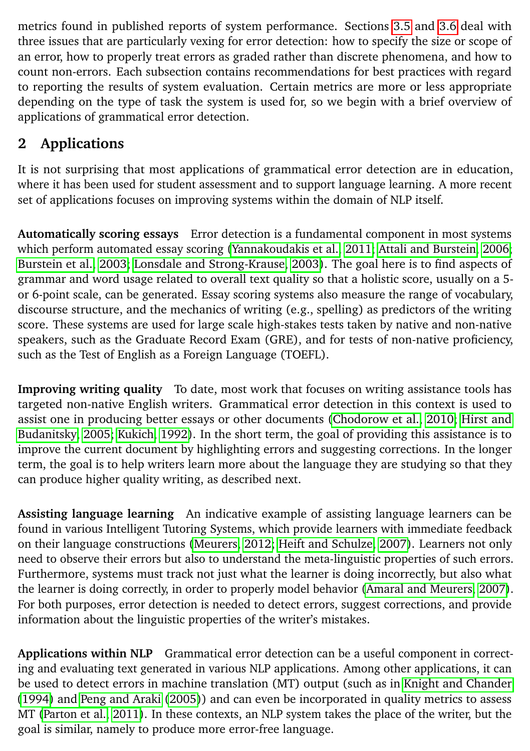metrics found in published reports of system performance. Sections [3.5](#page-8-0) and [3.6](#page-10-0) deal with three issues that are particularly vexing for error detection: how to specify the size or scope of an error, how to properly treat errors as graded rather than discrete phenomena, and how to count non-errors. Each subsection contains recommendations for best practices with regard to reporting the results of system evaluation. Certain metrics are more or less appropriate depending on the type of task the system is used for, so we begin with a brief overview of applications of grammatical error detection.

# <span id="page-2-0"></span>**2 Applications**

It is not surprising that most applications of grammatical error detection are in education, where it has been used for student assessment and to support language learning. A more recent set of applications focuses on improving systems within the domain of NLP itself.

**Automatically scoring essays** Error detection is a fundamental component in most systems which perform automated essay scoring [\(Yannakoudakis et al., 2011;](#page-16-1) [Attali and Burstein, 2006;](#page-13-5) [Burstein et al., 2003;](#page-13-6) [Lonsdale and Strong-Krause, 2003\)](#page-15-0). The goal here is to find aspects of grammar and word usage related to overall text quality so that a holistic score, usually on a 5 or 6-point scale, can be generated. Essay scoring systems also measure the range of vocabulary, discourse structure, and the mechanics of writing (e.g., spelling) as predictors of the writing score. These systems are used for large scale high-stakes tests taken by native and non-native speakers, such as the Graduate Record Exam (GRE), and for tests of non-native proficiency, such as the Test of English as a Foreign Language (TOEFL).

**Improving writing quality** To date, most work that focuses on writing assistance tools has targeted non-native English writers. Grammatical error detection in this context is used to assist one in producing better essays or other documents [\(Chodorow et al., 2010;](#page-13-7) [Hirst and](#page-14-3) [Budanitsky, 2005;](#page-14-3) [Kukich, 1992\)](#page-14-4). In the short term, the goal of providing this assistance is to improve the current document by highlighting errors and suggesting corrections. In the longer term, the goal is to help writers learn more about the language they are studying so that they can produce higher quality writing, as described next.

**Assisting language learning** An indicative example of assisting language learners can be found in various Intelligent Tutoring Systems, which provide learners with immediate feedback on their language constructions [\(Meurers, 2012;](#page-15-1) [Heift and Schulze, 2007\)](#page-14-5). Learners not only need to observe their errors but also to understand the meta-linguistic properties of such errors. Furthermore, systems must track not just what the learner is doing incorrectly, but also what the learner is doing correctly, in order to properly model behavior [\(Amaral and Meurers, 2007\)](#page-13-8). For both purposes, error detection is needed to detect errors, suggest corrections, and provide information about the linguistic properties of the writer's mistakes.

**Applications within NLP** Grammatical error detection can be a useful component in correcting and evaluating text generated in various NLP applications. Among other applications, it can be used to detect errors in machine translation (MT) output (such as in [Knight and Chander](#page-14-6) [\(1994\)](#page-14-6) and [Peng and Araki](#page-15-2) [\(2005\)](#page-15-2)) and can even be incorporated in quality metrics to assess MT [\(Parton et al., 2011\)](#page-15-3). In these contexts, an NLP system takes the place of the writer, but the goal is similar, namely to produce more error-free language.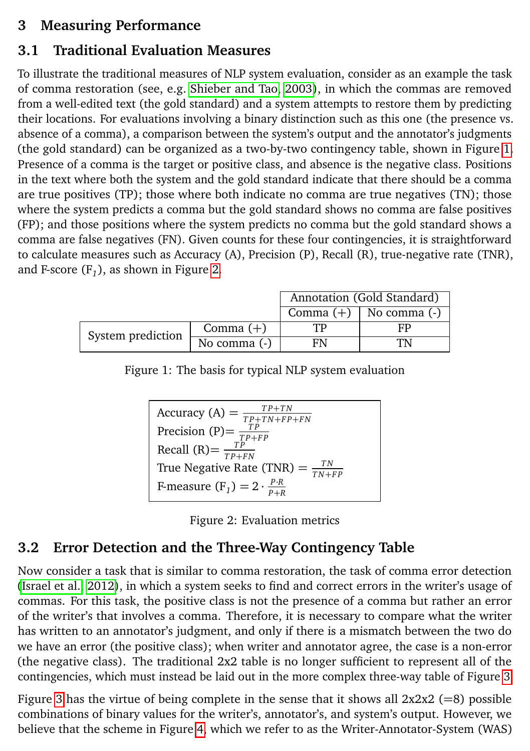### **3 Measuring Performance**

## <span id="page-3-0"></span>**3.1 Traditional Evaluation Measures**

To illustrate the traditional measures of NLP system evaluation, consider as an example the task of comma restoration (see, e.g. [Shieber and Tao, 2003\)](#page-15-4), in which the commas are removed from a well-edited text (the gold standard) and a system attempts to restore them by predicting their locations. For evaluations involving a binary distinction such as this one (the presence vs. absence of a comma), a comparison between the system's output and the annotator's judgments (the gold standard) can be organized as a two-by-two contingency table, shown in Figure [1.](#page-3-2) Presence of a comma is the target or positive class, and absence is the negative class. Positions in the text where both the system and the gold standard indicate that there should be a comma are true positives (TP); those where both indicate no comma are true negatives (TN); those where the system predicts a comma but the gold standard shows no comma are false positives (FP); and those positions where the system predicts no comma but the gold standard shows a comma are false negatives (FN). Given counts for these four contingencies, it is straightforward to calculate measures such as Accuracy (A), Precision (P), Recall (R), true-negative rate (TNR), and F-score (F*<sup>1</sup>* ), as shown in Figure [2.](#page-3-3)

|                   |                | Annotation (Gold Standard) |                              |  |
|-------------------|----------------|----------------------------|------------------------------|--|
|                   |                |                            | Comma $(+)$   No comma $(-)$ |  |
| System prediction | Comma $(+)$    |                            | FP.                          |  |
|                   | No comma $(-)$ | FN                         |                              |  |

Figure 1: The basis for typical NLP system evaluation

<span id="page-3-2"></span>

<span id="page-3-3"></span>

|  | Figure 2: Evaluation metrics |  |
|--|------------------------------|--|
|  |                              |  |

# <span id="page-3-1"></span>**3.2 Error Detection and the Three-Way Contingency Table**

Now consider a task that is similar to comma restoration, the task of comma error detection [\(Israel et al., 2012\)](#page-14-7), in which a system seeks to find and correct errors in the writer's usage of commas. For this task, the positive class is not the presence of a comma but rather an error of the writer's that involves a comma. Therefore, it is necessary to compare what the writer has written to an annotator's judgment, and only if there is a mismatch between the two do we have an error (the positive class); when writer and annotator agree, the case is a non-error (the negative class). The traditional  $2x2$  table is no longer sufficient to represent all of the contingencies, which must instead be laid out in the more complex three-way table of Figure [3.](#page-4-1)

Figure [3](#page-4-1) has the virtue of being complete in the sense that it shows all  $2x2x2 (=8)$  possible combinations of binary values for the writer's, annotator's, and system's output. However, we believe that the scheme in Figure [4,](#page-4-2) which we refer to as the Writer-Annotator-System (WAS)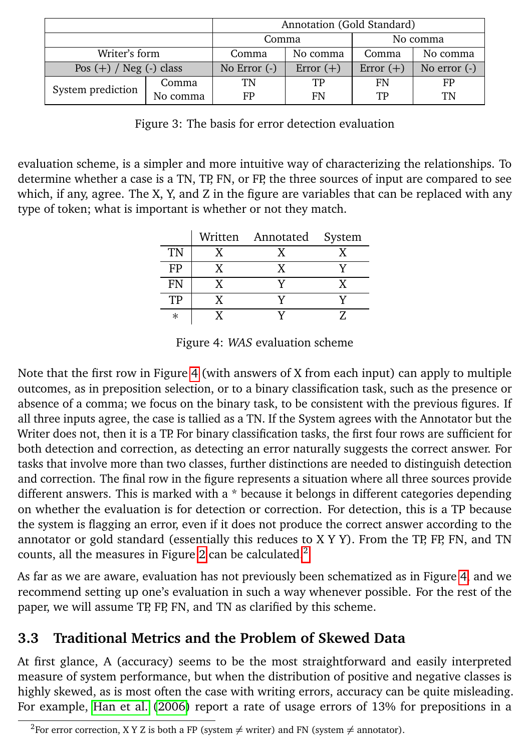|                             |          | Annotation (Gold Standard) |             |             |                |
|-----------------------------|----------|----------------------------|-------------|-------------|----------------|
|                             |          | Comma<br>No comma          |             |             |                |
| Writer's form               |          | Comma                      | No comma    | Comma       | No comma       |
| Pos $(+)$ / Neg $(-)$ class |          | No Error $(-)$             | Error $(+)$ | Error $(+)$ | No error $(-)$ |
| System prediction           | Comma    | TN                         | TP          | FN          | FP             |
|                             | No comma | FP                         | FN          | TP          | TN             |

<span id="page-4-1"></span>Figure 3: The basis for error detection evaluation

evaluation scheme, is a simpler and more intuitive way of characterizing the relationships. To determine whether a case is a TN, TP, FN, or FP, the three sources of input are compared to see which, if any, agree. The X, Y, and Z in the figure are variables that can be replaced with any type of token; what is important is whether or not they match.

|        | Written Annotated System |  |
|--------|--------------------------|--|
| TN     |                          |  |
| FP     |                          |  |
| FN     |                          |  |
| TP     |                          |  |
| $\ast$ |                          |  |

<span id="page-4-2"></span>Figure 4: *WAS* evaluation scheme

Note that the first row in Figure [4](#page-4-2) (with answers of X from each input) can apply to multiple outcomes, as in preposition selection, or to a binary classification task, such as the presence or absence of a comma; we focus on the binary task, to be consistent with the previous figures. If all three inputs agree, the case is tallied as a TN. If the System agrees with the Annotator but the Writer does not, then it is a TP. For binary classification tasks, the first four rows are sufficient for both detection and correction, as detecting an error naturally suggests the correct answer. For tasks that involve more than two classes, further distinctions are needed to distinguish detection and correction. The final row in the figure represents a situation where all three sources provide different answers. This is marked with a \* because it belongs in different categories depending on whether the evaluation is for detection or correction. For detection, this is a TP because the system is flagging an error, even if it does not produce the correct answer according to the annotator or gold standard (essentially this reduces to  $X$  Y Y). From the TP, FP, FN, and TN counts, all the measures in Figure [2](#page-3-3) can be calculated. $<sup>2</sup>$  $<sup>2</sup>$  $<sup>2</sup>$ </sup>

As far as we are aware, evaluation has not previously been schematized as in Figure [4,](#page-4-2) and we recommend setting up one's evaluation in such a way whenever possible. For the rest of the paper, we will assume TP, FP, FN, and TN as clarified by this scheme.

# <span id="page-4-0"></span>**3.3 Traditional Metrics and the Problem of Skewed Data**

At first glance, A (accuracy) seems to be the most straightforward and easily interpreted measure of system performance, but when the distribution of positive and negative classes is highly skewed, as is most often the case with writing errors, accuracy can be quite misleading. For example, [Han et al.](#page-14-1) [\(2006\)](#page-14-1) report a rate of usage errors of 13% for prepositions in a

<sup>&</sup>lt;sup>2</sup>For error correction, X Y Z is both a FP (system  $\neq$  writer) and FN (system  $\neq$  annotator).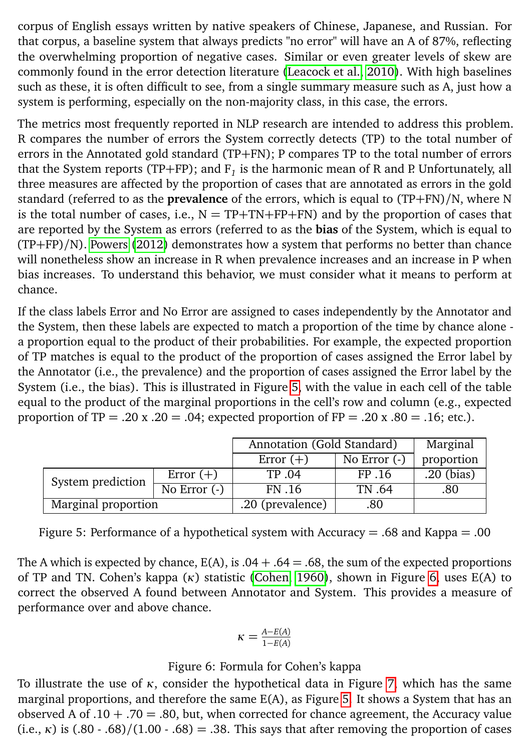corpus of English essays written by native speakers of Chinese, Japanese, and Russian. For that corpus, a baseline system that always predicts "no error" will have an A of 87%, reflecting the overwhelming proportion of negative cases. Similar or even greater levels of skew are commonly found in the error detection literature [\(Leacock et al., 2010\)](#page-14-0). With high baselines such as these, it is often difficult to see, from a single summary measure such as A, just how a system is performing, especially on the non-majority class, in this case, the errors.

The metrics most frequently reported in NLP research are intended to address this problem. R compares the number of errors the System correctly detects (TP) to the total number of errors in the Annotated gold standard (TP+FN); P compares TP to the total number of errors that the System reports (TP+FP); and F*<sup>1</sup>* is the harmonic mean of R and P. Unfortunately, all three measures are affected by the proportion of cases that are annotated as errors in the gold standard (referred to as the **prevalence** of the errors, which is equal to (TP+FN)/N, where N is the total number of cases, i.e.,  $N = TP + TN + FP + FN$  and by the proportion of cases that are reported by the System as errors (referred to as the **bias** of the System, which is equal to (TP+FP)/N). [Powers](#page-15-5) [\(2012\)](#page-15-5) demonstrates how a system that performs no better than chance will nonetheless show an increase in R when prevalence increases and an increase in P when bias increases. To understand this behavior, we must consider what it means to perform at chance.

If the class labels Error and No Error are assigned to cases independently by the Annotator and the System, then these labels are expected to match a proportion of the time by chance alone a proportion equal to the product of their probabilities. For example, the expected proportion of TP matches is equal to the product of the proportion of cases assigned the Error label by the Annotator (i.e., the prevalence) and the proportion of cases assigned the Error label by the System (i.e., the bias). This is illustrated in Figure [5,](#page-5-0) with the value in each cell of the table equal to the product of the marginal proportions in the cell's row and column (e.g., expected proportion of  $TP = .20$  x  $.20 = .04$ ; expected proportion of  $FP = .20$  x  $.80 = .16$ ; etc.).

|                     |                                       | Annotation (Gold Standard) |                | Marginal     |
|---------------------|---------------------------------------|----------------------------|----------------|--------------|
|                     |                                       | Error $(+)$                | No Error $(-)$ | proportion   |
|                     | Error $(+)$                           | TP .04                     | FP 16          | $.20$ (bias) |
| System prediction   | $\overline{N}$ Error $\overline{(-)}$ | FN .16                     | TN .64         | .80          |
| Marginal proportion |                                       | .20 (prevalence)           | .80            |              |

<span id="page-5-0"></span>Figure 5: Performance of a hypothetical system with Accuracy = .68 and Kappa = .00

The A which is expected by chance,  $E(A)$ , is  $.04 + .64 = .68$ , the sum of the expected proportions of TP and TN. Cohen's kappa (*κ*) statistic [\(Cohen, 1960\)](#page-13-9), shown in Figure [6,](#page-5-1) uses E(A) to correct the observed A found between Annotator and System. This provides a measure of performance over and above chance.

<span id="page-5-1"></span>
$$
\kappa = \frac{A - E(A)}{1 - E(A)}
$$

### Figure 6: Formula for Cohen's kappa

To illustrate the use of *κ*, consider the hypothetical data in Figure [7,](#page-6-0) which has the same marginal proportions, and therefore the same E(A), as Figure [5.](#page-5-0) It shows a System that has an observed A of .10  $+$  .70 = .80, but, when corrected for chance agreement, the Accuracy value (i.e.,  $\kappa$ ) is (.80 - .68)/(1.00 - .68) = .38. This says that after removing the proportion of cases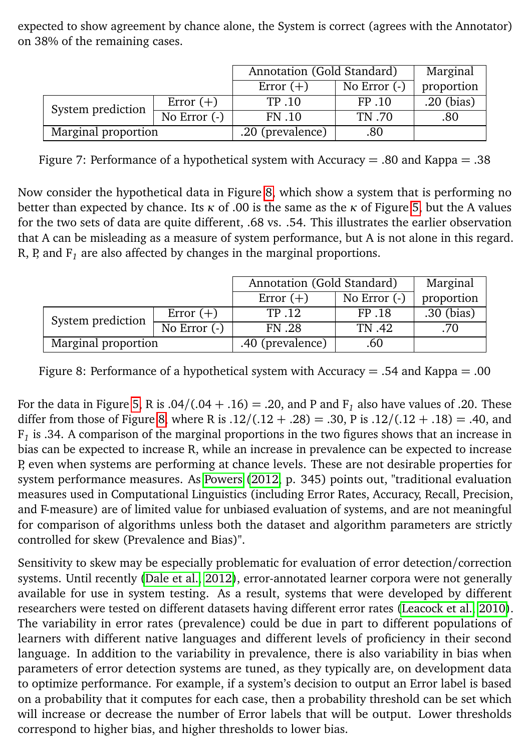expected to show agreement by chance alone, the System is correct (agrees with the Annotator) on 38% of the remaining cases.

|                     |                | Annotation (Gold Standard) |                | Marginal   |
|---------------------|----------------|----------------------------|----------------|------------|
|                     |                | Error $(+)$                | No Error $(-)$ | proportion |
| System prediction   | Error $(+)$    | TP .10                     | FP .10         | .20 (bias) |
|                     | No Error $(-)$ | FN .10                     | TN .70         | .80        |
| Marginal proportion |                | .20 (prevalence)           | .80            |            |

<span id="page-6-0"></span>Figure 7: Performance of a hypothetical system with Accuracy  $= .80$  and Kappa  $= .38$ 

Now consider the hypothetical data in Figure [8,](#page-6-1) which show a system that is performing no better than expected by chance. Its *κ* of .00 is the same as the *κ* of Figure [5,](#page-5-0) but the A values for the two sets of data are quite different, .68 vs. .54. This illustrates the earlier observation that A can be misleading as a measure of system performance, but A is not alone in this regard. R, P, and F*<sup>1</sup>* are also affected by changes in the marginal proportions.

|                     |                                         | Annotation (Gold Standard) |                | Marginal   |
|---------------------|-----------------------------------------|----------------------------|----------------|------------|
|                     |                                         | Error $(+)$                | No Error $(-)$ | proportion |
| System prediction   | Error $(+)$                             | TP .12                     | FP .18         | .30 (bias) |
|                     | $\overline{N}$ o Error $\overline{(-)}$ | <b>FN.28</b>               | TN .42         | .70        |
| Marginal proportion |                                         | .40 (prevalence)           | .60            |            |

<span id="page-6-1"></span>Figure 8: Performance of a hypothetical system with Accuracy  $= .54$  and Kappa  $= .00$ 

For the data in Figure [5,](#page-5-0) R is  $.04/(.04 + .16) = .20$ , and P and F<sub>1</sub> also have values of .20. These differ from those of Figure [8,](#page-6-1) where R is  $.12/(.12 + .28) = .30$ , P is  $.12/(.12 + .18) = .40$ , and F*1* is .34. A comparison of the marginal proportions in the two figures shows that an increase in bias can be expected to increase R, while an increase in prevalence can be expected to increase P, even when systems are performing at chance levels. These are not desirable properties for system performance measures. As [Powers](#page-15-5) [\(2012,](#page-15-5) p. 345) points out, "traditional evaluation measures used in Computational Linguistics (including Error Rates, Accuracy, Recall, Precision, and F-measure) are of limited value for unbiased evaluation of systems, and are not meaningful for comparison of algorithms unless both the dataset and algorithm parameters are strictly controlled for skew (Prevalence and Bias)".

Sensitivity to skew may be especially problematic for evaluation of error detection/correction systems. Until recently [\(Dale et al., 2012\)](#page-13-3), error-annotated learner corpora were not generally available for use in system testing. As a result, systems that were developed by different researchers were tested on different datasets having different error rates [\(Leacock et al., 2010\)](#page-14-0). The variability in error rates (prevalence) could be due in part to different populations of learners with different native languages and different levels of proficiency in their second language. In addition to the variability in prevalence, there is also variability in bias when parameters of error detection systems are tuned, as they typically are, on development data to optimize performance. For example, if a system's decision to output an Error label is based on a probability that it computes for each case, then a probability threshold can be set which will increase or decrease the number of Error labels that will be output. Lower thresholds correspond to higher bias, and higher thresholds to lower bias.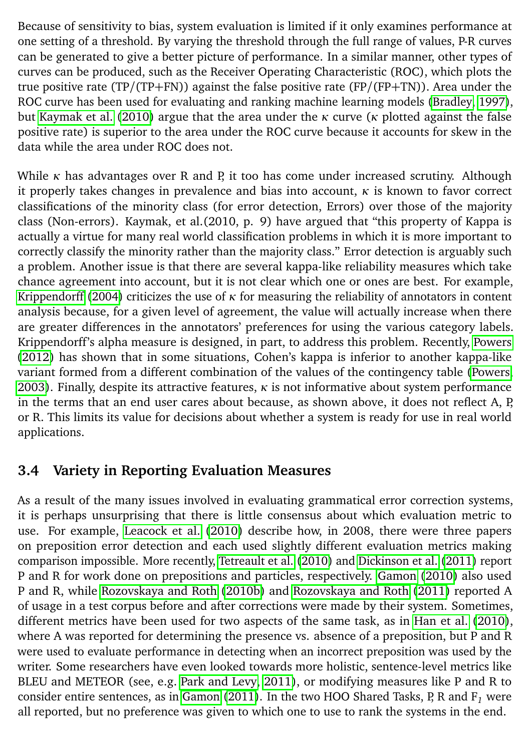Because of sensitivity to bias, system evaluation is limited if it only examines performance at one setting of a threshold. By varying the threshold through the full range of values, P-R curves can be generated to give a better picture of performance. In a similar manner, other types of curves can be produced, such as the Receiver Operating Characteristic (ROC), which plots the true positive rate (TP/(TP+FN)) against the false positive rate (FP/(FP+TN)). Area under the ROC curve has been used for evaluating and ranking machine learning models [\(Bradley, 1997\)](#page-13-10), but [Kaymak et al.](#page-14-8) [\(2010\)](#page-14-8) argue that the area under the *κ* curve (*κ* plotted against the false positive rate) is superior to the area under the ROC curve because it accounts for skew in the data while the area under ROC does not.

While *κ* has advantages over R and P, it too has come under increased scrutiny. Although it properly takes changes in prevalence and bias into account, *κ* is known to favor correct classifications of the minority class (for error detection, Errors) over those of the majority class (Non-errors). Kaymak, et al.(2010, p. 9) have argued that "this property of Kappa is actually a virtue for many real world classification problems in which it is more important to correctly classify the minority rather than the majority class." Error detection is arguably such a problem. Another issue is that there are several kappa-like reliability measures which take chance agreement into account, but it is not clear which one or ones are best. For example, [Krippendorff](#page-14-9) [\(2004\)](#page-14-9) criticizes the use of *κ* for measuring the reliability of annotators in content analysis because, for a given level of agreement, the value will actually increase when there are greater differences in the annotators' preferences for using the various category labels. Krippendorff's alpha measure is designed, in part, to address this problem. Recently, [Powers](#page-15-5) [\(2012\)](#page-15-5) has shown that in some situations, Cohen's kappa is inferior to another kappa-like variant formed from a different combination of the values of the contingency table [\(Powers,](#page-15-6) [2003\)](#page-15-6). Finally, despite its attractive features, *κ* is not informative about system performance in the terms that an end user cares about because, as shown above, it does not reflect A, P, or R. This limits its value for decisions about whether a system is ready for use in real world applications.

### <span id="page-7-0"></span>**3.4 Variety in Reporting Evaluation Measures**

As a result of the many issues involved in evaluating grammatical error correction systems, it is perhaps unsurprising that there is little consensus about which evaluation metric to use. For example, [Leacock et al.](#page-14-0) [\(2010\)](#page-14-0) describe how, in 2008, there were three papers on preposition error detection and each used slightly different evaluation metrics making comparison impossible. More recently, [Tetreault et al.](#page-16-2) [\(2010\)](#page-16-2) and [Dickinson et al.](#page-13-0) [\(2011\)](#page-13-0) report P and R for work done on prepositions and particles, respectively. [Gamon](#page-14-10) [\(2010\)](#page-14-10) also used P and R, while [Rozovskaya and Roth](#page-15-7) [\(2010b\)](#page-15-7) and [Rozovskaya and Roth](#page-15-8) [\(2011\)](#page-15-8) reported A of usage in a test corpus before and after corrections were made by their system. Sometimes, different metrics have been used for two aspects of the same task, as in [Han et al.](#page-14-11) [\(2010\)](#page-14-11), where A was reported for determining the presence vs. absence of a preposition, but P and R were used to evaluate performance in detecting when an incorrect preposition was used by the writer. Some researchers have even looked towards more holistic, sentence-level metrics like BLEU and METEOR (see, e.g. [Park and Levy, 2011\)](#page-15-9), or modifying measures like P and R to consider entire sentences, as in [Gamon](#page-14-12) [\(2011\)](#page-14-12). In the two HOO Shared Tasks, P, R and F*<sup>1</sup>* were all reported, but no preference was given to which one to use to rank the systems in the end.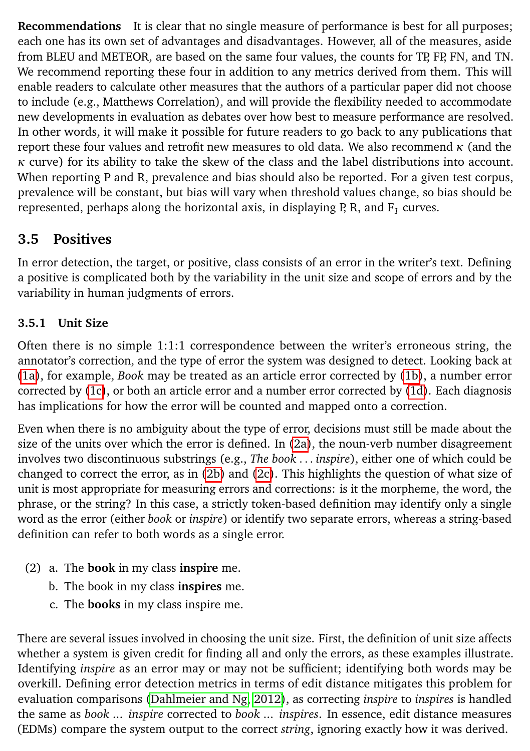**Recommendations** It is clear that no single measure of performance is best for all purposes; each one has its own set of advantages and disadvantages. However, all of the measures, aside from BLEU and METEOR, are based on the same four values, the counts for TP, FP, FN, and TN. We recommend reporting these four in addition to any metrics derived from them. This will enable readers to calculate other measures that the authors of a particular paper did not choose to include (e.g., Matthews Correlation), and will provide the flexibility needed to accommodate new developments in evaluation as debates over how best to measure performance are resolved. In other words, it will make it possible for future readers to go back to any publications that report these four values and retrofit new measures to old data. We also recommend *κ* (and the *κ* curve) for its ability to take the skew of the class and the label distributions into account. When reporting P and R, prevalence and bias should also be reported. For a given test corpus, prevalence will be constant, but bias will vary when threshold values change, so bias should be represented, perhaps along the horizontal axis, in displaying P, R, and  $\mathtt{F}_1$  curves.

# <span id="page-8-0"></span>**3.5 Positives**

In error detection, the target, or positive, class consists of an error in the writer's text. Defining a positive is complicated both by the variability in the unit size and scope of errors and by the variability in human judgments of errors.

## **3.5.1 Unit Size**

Often there is no simple 1:1:1 correspondence between the writer's erroneous string, the annotator's correction, and the type of error the system was designed to detect. Looking back at [\(1a\)](#page-1-0), for example, *Book* may be treated as an article error corrected by [\(1b\)](#page-1-1), a number error corrected by [\(1c\)](#page-1-2), or both an article error and a number error corrected by [\(1d\)](#page-1-3). Each diagnosis has implications for how the error will be counted and mapped onto a correction.

Even when there is no ambiguity about the type of error, decisions must still be made about the size of the units over which the error is defined. In [\(2a\)](#page-8-1), the noun-verb number disagreement involves two discontinuous substrings (e.g., *The book . . . inspire*), either one of which could be changed to correct the error, as in [\(2b\)](#page-8-2) and [\(2c\)](#page-8-3). This highlights the question of what size of unit is most appropriate for measuring errors and corrections: is it the morpheme, the word, the phrase, or the string? In this case, a strictly token-based definition may identify only a single word as the error (either *book* or *inspire*) or identify two separate errors, whereas a string-based definition can refer to both words as a single error.

- <span id="page-8-3"></span><span id="page-8-2"></span><span id="page-8-1"></span>(2) a. The **book** in my class **inspire** me.
	- b. The book in my class **inspires** me.
	- c. The **books** in my class inspire me.

There are several issues involved in choosing the unit size. First, the definition of unit size affects whether a system is given credit for finding all and only the errors, as these examples illustrate. Identifying *inspire* as an error may or may not be sufficient; identifying both words may be overkill. Defining error detection metrics in terms of edit distance mitigates this problem for evaluation comparisons [\(Dahlmeier and Ng, 2012\)](#page-13-11), as correcting *inspire* to *inspires* is handled the same as *book ... inspire* corrected to *book ... inspires*. In essence, edit distance measures (EDMs) compare the system output to the correct *string*, ignoring exactly how it was derived.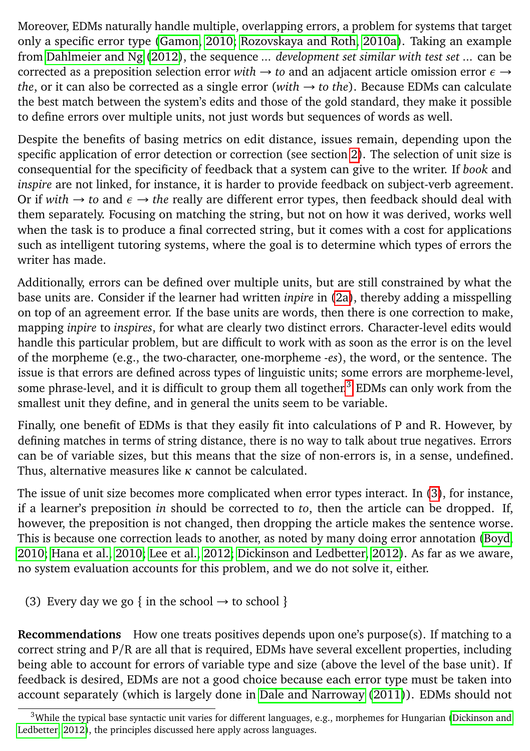Moreover, EDMs naturally handle multiple, overlapping errors, a problem for systems that target only a specific error type [\(Gamon, 2010;](#page-14-10) [Rozovskaya and Roth, 2010a\)](#page-15-10). Taking an example from [Dahlmeier and Ng](#page-13-11) [\(2012\)](#page-13-11), the sequence *... development set similar with test set ...* can be corrected as a preposition selection error *with* → *to* and an adjacent article omission error *ε* → *the*, or it can also be corrected as a single error (*with* → *to the*). Because EDMs can calculate the best match between the system's edits and those of the gold standard, they make it possible to define errors over multiple units, not just words but sequences of words as well.

Despite the benefits of basing metrics on edit distance, issues remain, depending upon the specific application of error detection or correction (see section [2\)](#page-2-0). The selection of unit size is consequential for the specificity of feedback that a system can give to the writer. If *book* and *inspire* are not linked, for instance, it is harder to provide feedback on subject-verb agreement. Or if *with* → *to* and *ε* → *the* really are different error types, then feedback should deal with them separately. Focusing on matching the string, but not on how it was derived, works well when the task is to produce a final corrected string, but it comes with a cost for applications such as intelligent tutoring systems, where the goal is to determine which types of errors the writer has made.

Additionally, errors can be defined over multiple units, but are still constrained by what the base units are. Consider if the learner had written *inpire* in [\(2a\)](#page-8-1), thereby adding a misspelling on top of an agreement error. If the base units are words, then there is one correction to make, mapping *inpire* to *inspires*, for what are clearly two distinct errors. Character-level edits would handle this particular problem, but are difficult to work with as soon as the error is on the level of the morpheme (e.g., the two-character, one-morpheme *-es*), the word, or the sentence. The issue is that errors are defined across types of linguistic units; some errors are morpheme-level, some phrase-level, and it is difficult to group them all together.<sup>[3](#page-0-0)</sup> EDMs can only work from the smallest unit they define, and in general the units seem to be variable.

Finally, one benefit of EDMs is that they easily fit into calculations of P and R. However, by defining matches in terms of string distance, there is no way to talk about true negatives. Errors can be of variable sizes, but this means that the size of non-errors is, in a sense, undefined. Thus, alternative measures like *κ* cannot be calculated.

The issue of unit size becomes more complicated when error types interact. In [\(3\)](#page-9-0), for instance, if a learner's preposition *in* should be corrected to *to*, then the article can be dropped. If, however, the preposition is not changed, then dropping the article makes the sentence worse. This is because one correction leads to another, as noted by many doing error annotation [\(Boyd,](#page-13-12) [2010;](#page-13-12) [Hana et al., 2010;](#page-14-13) [Lee et al., 2012;](#page-15-11) [Dickinson and Ledbetter, 2012\)](#page-14-14). As far as we aware, no system evaluation accounts for this problem, and we do not solve it, either.

<span id="page-9-0"></span>(3) Every day we go { in the school  $\rightarrow$  to school }

**Recommendations** How one treats positives depends upon one's purpose(s). If matching to a correct string and P/R are all that is required, EDMs have several excellent properties, including being able to account for errors of variable type and size (above the level of the base unit). If feedback is desired, EDMs are not a good choice because each error type must be taken into account separately (which is largely done in [Dale and Narroway](#page-13-4) [\(2011\)](#page-13-4)). EDMs should not

 $3$ While the typical base syntactic unit varies for different languages, e.g., morphemes for Hungarian [\(Dickinson and](#page-14-14) [Ledbetter, 2012\)](#page-14-14), the principles discussed here apply across languages.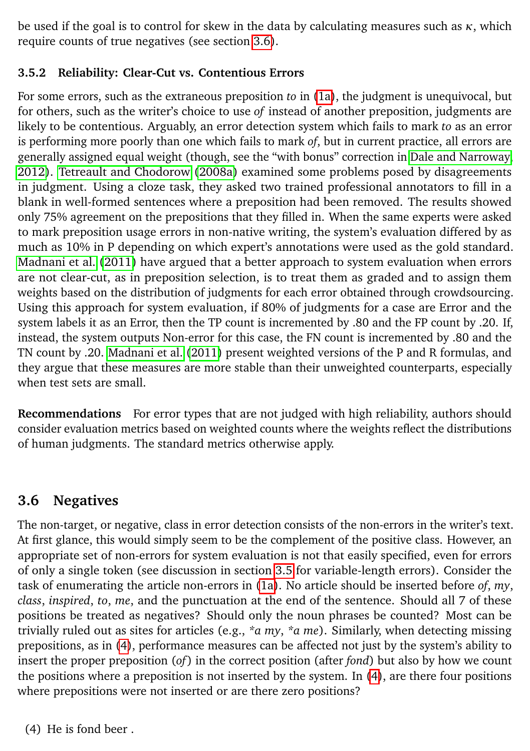be used if the goal is to control for skew in the data by calculating measures such as *κ*, which require counts of true negatives (see section [3.6\)](#page-10-0).

### **3.5.2 Reliability: Clear-Cut vs. Contentious Errors**

For some errors, such as the extraneous preposition *to* in [\(1a\)](#page-1-0), the judgment is unequivocal, but for others, such as the writer's choice to use *of* instead of another preposition, judgments are likely to be contentious. Arguably, an error detection system which fails to mark *to* as an error is performing more poorly than one which fails to mark *of*, but in current practice, all errors are generally assigned equal weight (though, see the "with bonus" correction in [Dale and Narroway,](#page-13-13) [2012\)](#page-13-13). [Tetreault and Chodorow](#page-15-12) [\(2008a\)](#page-15-12) examined some problems posed by disagreements in judgment. Using a cloze task, they asked two trained professional annotators to fill in a blank in well-formed sentences where a preposition had been removed. The results showed only 75% agreement on the prepositions that they filled in. When the same experts were asked to mark preposition usage errors in non-native writing, the system's evaluation differed by as much as 10% in P depending on which expert's annotations were used as the gold standard. [Madnani et al.](#page-15-13) [\(2011\)](#page-15-13) have argued that a better approach to system evaluation when errors are not clear-cut, as in preposition selection, is to treat them as graded and to assign them weights based on the distribution of judgments for each error obtained through crowdsourcing. Using this approach for system evaluation, if 80% of judgments for a case are Error and the system labels it as an Error, then the TP count is incremented by .80 and the FP count by .20. If, instead, the system outputs Non-error for this case, the FN count is incremented by .80 and the TN count by .20. [Madnani et al.](#page-15-13) [\(2011\)](#page-15-13) present weighted versions of the P and R formulas, and they argue that these measures are more stable than their unweighted counterparts, especially when test sets are small.

**Recommendations** For error types that are not judged with high reliability, authors should consider evaluation metrics based on weighted counts where the weights reflect the distributions of human judgments. The standard metrics otherwise apply.

# <span id="page-10-0"></span>**3.6 Negatives**

<span id="page-10-1"></span>The non-target, or negative, class in error detection consists of the non-errors in the writer's text. At first glance, this would simply seem to be the complement of the positive class. However, an appropriate set of non-errors for system evaluation is not that easily specified, even for errors of only a single token (see discussion in section [3.5](#page-8-0) for variable-length errors). Consider the task of enumerating the article non-errors in [\(1a\)](#page-1-0). No article should be inserted before *of*, *my*, *class*, *inspired*, *to*, *me*, and the punctuation at the end of the sentence. Should all 7 of these positions be treated as negatives? Should only the noun phrases be counted? Most can be trivially ruled out as sites for articles (e.g., *\*a my*, *\*a me*). Similarly, when detecting missing prepositions, as in [\(4\)](#page-10-1), performance measures can be affected not just by the system's ability to insert the proper preposition (*of* ) in the correct position (after *fond*) but also by how we count the positions where a preposition is not inserted by the system. In [\(4\)](#page-10-1), are there four positions where prepositions were not inserted or are there zero positions?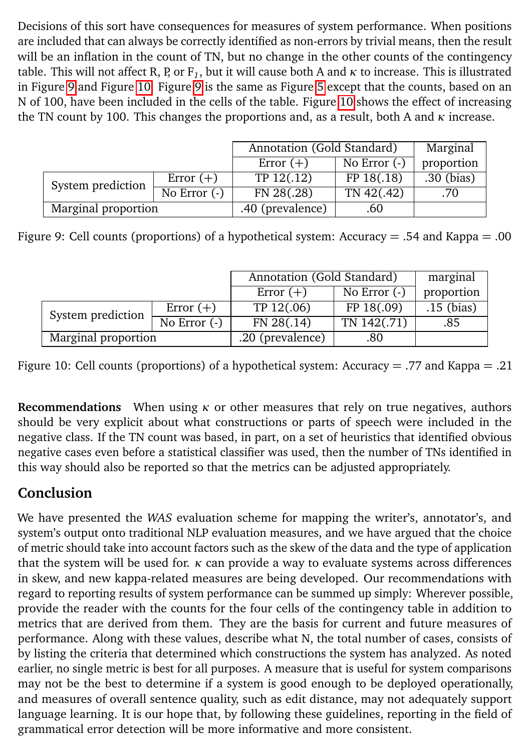Decisions of this sort have consequences for measures of system performance. When positions are included that can always be correctly identified as non-errors by trivial means, then the result will be an inflation in the count of TN, but no change in the other counts of the contingency table. This will not affect R, P, or F<sub>1</sub>, but it will cause both A and  $\kappa$  to increase. This is illustrated in Figure [9](#page-11-0) and Figure [10.](#page-11-1) Figure [9](#page-11-0) is the same as Figure [5](#page-5-0) except that the counts, based on an N of 100, have been included in the cells of the table. Figure [10](#page-11-1) shows the effect of increasing the TN count by 100. This changes the proportions and, as a result, both A and *κ* increase.

|                     |                | Annotation (Gold Standard) |                 | Marginal   |
|---------------------|----------------|----------------------------|-----------------|------------|
|                     |                | Error $(+)$                | No Error $(-)$  | proportion |
| System prediction   | Error $(+)$    | TP 12(.12)                 | FP 18(.18)      | .30 (bias) |
|                     | No Error $(-)$ | FN 28(.28)                 | $TN$ 42 $(.42)$ | .70        |
| Marginal proportion |                | .40 (prevalence)           | .60             |            |

Figure 9: Cell counts (proportions) of a hypothetical system: Accuracy = .54 and Kappa = .00

<span id="page-11-0"></span>

|                     |                | Annotation (Gold Standard) |                | marginal     |
|---------------------|----------------|----------------------------|----------------|--------------|
|                     |                | Error $(+)$                | No Error $(-)$ | proportion   |
| System prediction   | Error $(+)$    | TP 12(.06)                 | FP 18(.09)     | $.15$ (bias) |
|                     | No Error $(-)$ | FN 28(.14)                 | TN 142(.71)    | .85          |
| Marginal proportion |                | .20 (prevalence)           | .80            |              |

<span id="page-11-1"></span>Figure 10: Cell counts (proportions) of a hypothetical system: Accuracy = .77 and Kappa = .21

**Recommendations** When using  $\kappa$  or other measures that rely on true negatives, authors should be very explicit about what constructions or parts of speech were included in the negative class. If the TN count was based, in part, on a set of heuristics that identified obvious negative cases even before a statistical classifier was used, then the number of TNs identified in this way should also be reported so that the metrics can be adjusted appropriately.

# **Conclusion**

We have presented the *WAS* evaluation scheme for mapping the writer's, annotator's, and system's output onto traditional NLP evaluation measures, and we have argued that the choice of metric should take into account factors such as the skew of the data and the type of application that the system will be used for. *κ* can provide a way to evaluate systems across differences in skew, and new kappa-related measures are being developed. Our recommendations with regard to reporting results of system performance can be summed up simply: Wherever possible, provide the reader with the counts for the four cells of the contingency table in addition to metrics that are derived from them. They are the basis for current and future measures of performance. Along with these values, describe what N, the total number of cases, consists of by listing the criteria that determined which constructions the system has analyzed. As noted earlier, no single metric is best for all purposes. A measure that is useful for system comparisons may not be the best to determine if a system is good enough to be deployed operationally, and measures of overall sentence quality, such as edit distance, may not adequately support language learning. It is our hope that, by following these guidelines, reporting in the field of grammatical error detection will be more informative and more consistent.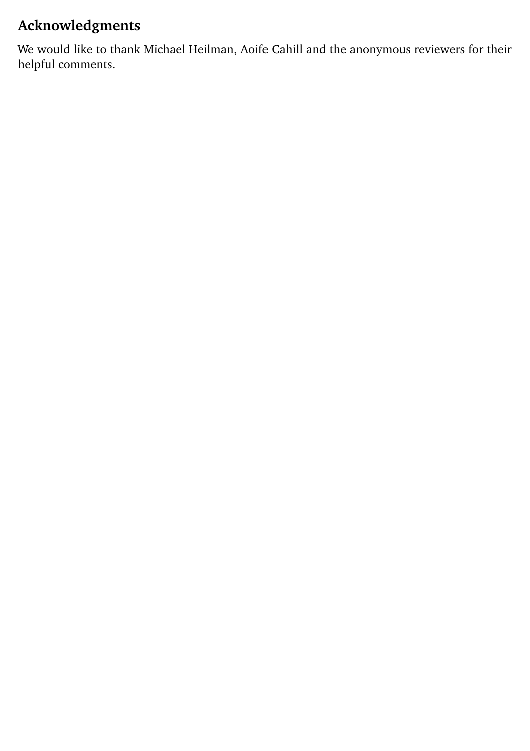# **Acknowledgments**

We would like to thank Michael Heilman, Aoife Cahill and the anonymous reviewers for their helpful comments.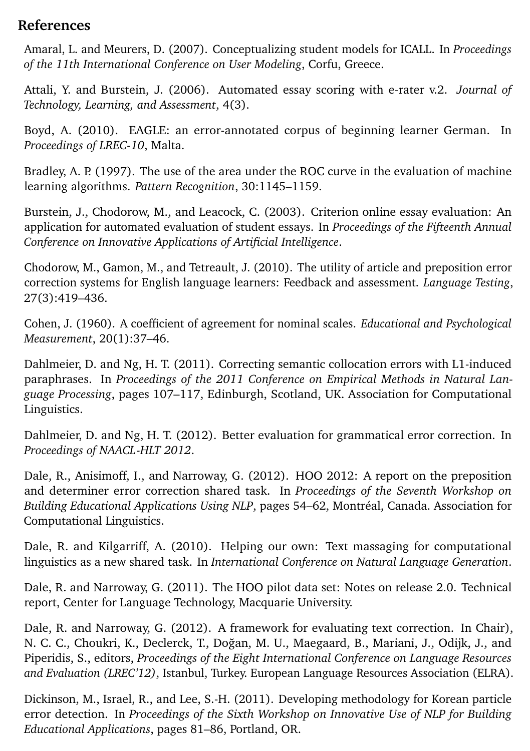### **References**

<span id="page-13-8"></span>Amaral, L. and Meurers, D. (2007). Conceptualizing student models for ICALL. In *Proceedings of the 11th International Conference on User Modeling*, Corfu, Greece.

<span id="page-13-5"></span>Attali, Y. and Burstein, J. (2006). Automated essay scoring with e-rater v.2. *Journal of Technology, Learning, and Assessment*, 4(3).

<span id="page-13-12"></span>Boyd, A. (2010). EAGLE: an error-annotated corpus of beginning learner German. In *Proceedings of LREC-10*, Malta.

<span id="page-13-10"></span>Bradley, A. P. (1997). The use of the area under the ROC curve in the evaluation of machine learning algorithms. *Pattern Recognition*, 30:1145–1159.

<span id="page-13-6"></span>Burstein, J., Chodorow, M., and Leacock, C. (2003). Criterion online essay evaluation: An application for automated evaluation of student essays. In *Proceedings of the Fifteenth Annual Conference on Innovative Applications of Artificial Intelligence*.

<span id="page-13-7"></span>Chodorow, M., Gamon, M., and Tetreault, J. (2010). The utility of article and preposition error correction systems for English language learners: Feedback and assessment. *Language Testing*, 27(3):419–436.

<span id="page-13-9"></span>Cohen, J. (1960). A coefficient of agreement for nominal scales. *Educational and Psychological Measurement*, 20(1):37–46.

<span id="page-13-1"></span>Dahlmeier, D. and Ng, H. T. (2011). Correcting semantic collocation errors with L1-induced paraphrases. In *Proceedings of the 2011 Conference on Empirical Methods in Natural Language Processing*, pages 107–117, Edinburgh, Scotland, UK. Association for Computational Linguistics.

<span id="page-13-11"></span>Dahlmeier, D. and Ng, H. T. (2012). Better evaluation for grammatical error correction. In *Proceedings of NAACL-HLT 2012*.

<span id="page-13-3"></span>Dale, R., Anisimoff, I., and Narroway, G. (2012). HOO 2012: A report on the preposition and determiner error correction shared task. In *Proceedings of the Seventh Workshop on Building Educational Applications Using NLP*, pages 54–62, Montréal, Canada. Association for Computational Linguistics.

<span id="page-13-2"></span>Dale, R. and Kilgarriff, A. (2010). Helping our own: Text massaging for computational linguistics as a new shared task. In *International Conference on Natural Language Generation*.

<span id="page-13-4"></span>Dale, R. and Narroway, G. (2011). The HOO pilot data set: Notes on release 2.0. Technical report, Center for Language Technology, Macquarie University.

<span id="page-13-13"></span>Dale, R. and Narroway, G. (2012). A framework for evaluating text correction. In Chair), N. C. C., Choukri, K., Declerck, T., Dogan, M. U., Maegaard, B., Mariani, J., Odijk, J., and ˘ Piperidis, S., editors, *Proceedings of the Eight International Conference on Language Resources and Evaluation (LREC'12)*, Istanbul, Turkey. European Language Resources Association (ELRA).

<span id="page-13-0"></span>Dickinson, M., Israel, R., and Lee, S.-H. (2011). Developing methodology for Korean particle error detection. In *Proceedings of the Sixth Workshop on Innovative Use of NLP for Building Educational Applications*, pages 81–86, Portland, OR.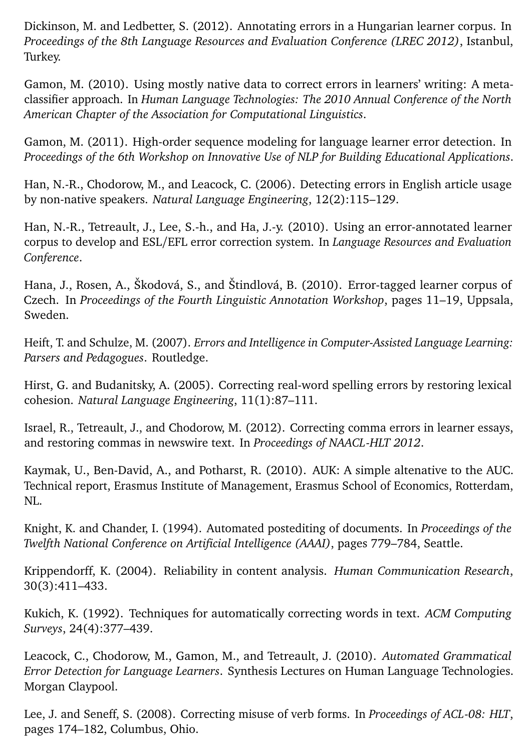<span id="page-14-14"></span>Dickinson, M. and Ledbetter, S. (2012). Annotating errors in a Hungarian learner corpus. In *Proceedings of the 8th Language Resources and Evaluation Conference (LREC 2012)*, Istanbul, Turkey.

<span id="page-14-10"></span>Gamon, M. (2010). Using mostly native data to correct errors in learners' writing: A metaclassifier approach. In *Human Language Technologies: The 2010 Annual Conference of the North American Chapter of the Association for Computational Linguistics*.

<span id="page-14-12"></span>Gamon, M. (2011). High-order sequence modeling for language learner error detection. In *Proceedings of the 6th Workshop on Innovative Use of NLP for Building Educational Applications*.

<span id="page-14-1"></span>Han, N.-R., Chodorow, M., and Leacock, C. (2006). Detecting errors in English article usage by non-native speakers. *Natural Language Engineering*, 12(2):115–129.

<span id="page-14-11"></span>Han, N.-R., Tetreault, J., Lee, S.-h., and Ha, J.-y. (2010). Using an error-annotated learner corpus to develop and ESL/EFL error correction system. In *Language Resources and Evaluation Conference*.

<span id="page-14-13"></span>Hana, J., Rosen, A., Škodová, S., and Štindlová, B. (2010). Error-tagged learner corpus of Czech. In *Proceedings of the Fourth Linguistic Annotation Workshop*, pages 11–19, Uppsala, Sweden.

<span id="page-14-5"></span>Heift, T. and Schulze, M. (2007). *Errors and Intelligence in Computer-Assisted Language Learning: Parsers and Pedagogues*. Routledge.

<span id="page-14-3"></span>Hirst, G. and Budanitsky, A. (2005). Correcting real-word spelling errors by restoring lexical cohesion. *Natural Language Engineering*, 11(1):87–111.

<span id="page-14-7"></span>Israel, R., Tetreault, J., and Chodorow, M. (2012). Correcting comma errors in learner essays, and restoring commas in newswire text. In *Proceedings of NAACL-HLT 2012*.

<span id="page-14-8"></span>Kaymak, U., Ben-David, A., and Potharst, R. (2010). AUK: A simple altenative to the AUC. Technical report, Erasmus Institute of Management, Erasmus School of Economics, Rotterdam, NL.

<span id="page-14-6"></span>Knight, K. and Chander, I. (1994). Automated postediting of documents. In *Proceedings of the Twelfth National Conference on Artificial Intelligence (AAAI)*, pages 779–784, Seattle.

<span id="page-14-9"></span>Krippendorff, K. (2004). Reliability in content analysis. *Human Communication Research*, 30(3):411–433.

<span id="page-14-4"></span>Kukich, K. (1992). Techniques for automatically correcting words in text. *ACM Computing Surveys*, 24(4):377–439.

<span id="page-14-0"></span>Leacock, C., Chodorow, M., Gamon, M., and Tetreault, J. (2010). *Automated Grammatical Error Detection for Language Learners*. Synthesis Lectures on Human Language Technologies. Morgan Claypool.

<span id="page-14-2"></span>Lee, J. and Seneff, S. (2008). Correcting misuse of verb forms. In *Proceedings of ACL-08: HLT*, pages 174–182, Columbus, Ohio.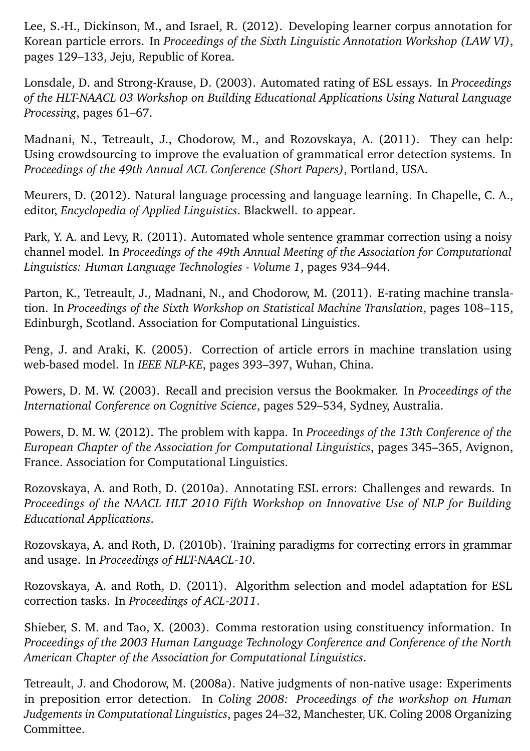<span id="page-15-11"></span>Lee, S.-H., Dickinson, M., and Israel, R. (2012). Developing learner corpus annotation for Korean particle errors. In *Proceedings of the Sixth Linguistic Annotation Workshop (LAW VI)*, pages 129–133, Jeju, Republic of Korea.

<span id="page-15-0"></span>Lonsdale, D. and Strong-Krause, D. (2003). Automated rating of ESL essays. In *Proceedings of the HLT-NAACL 03 Workshop on Building Educational Applications Using Natural Language Processing*, pages 61–67.

<span id="page-15-13"></span>Madnani, N., Tetreault, J., Chodorow, M., and Rozovskaya, A. (2011). They can help: Using crowdsourcing to improve the evaluation of grammatical error detection systems. In *Proceedings of the 49th Annual ACL Conference (Short Papers)*, Portland, USA.

<span id="page-15-1"></span>Meurers, D. (2012). Natural language processing and language learning. In Chapelle, C. A., editor, *Encyclopedia of Applied Linguistics*. Blackwell. to appear.

<span id="page-15-9"></span>Park, Y. A. and Levy, R. (2011). Automated whole sentence grammar correction using a noisy channel model. In *Proceedings of the 49th Annual Meeting of the Association for Computational Linguistics: Human Language Technologies - Volume 1*, pages 934–944.

<span id="page-15-3"></span>Parton, K., Tetreault, J., Madnani, N., and Chodorow, M. (2011). E-rating machine translation. In *Proceedings of the Sixth Workshop on Statistical Machine Translation*, pages 108–115, Edinburgh, Scotland. Association for Computational Linguistics.

<span id="page-15-2"></span>Peng, J. and Araki, K. (2005). Correction of article errors in machine translation using web-based model. In *IEEE NLP-KE*, pages 393–397, Wuhan, China.

<span id="page-15-6"></span>Powers, D. M. W. (2003). Recall and precision versus the Bookmaker. In *Proceedings of the International Conference on Cognitive Science*, pages 529–534, Sydney, Australia.

<span id="page-15-5"></span>Powers, D. M. W. (2012). The problem with kappa. In *Proceedings of the 13th Conference of the European Chapter of the Association for Computational Linguistics*, pages 345–365, Avignon, France. Association for Computational Linguistics.

<span id="page-15-10"></span>Rozovskaya, A. and Roth, D. (2010a). Annotating ESL errors: Challenges and rewards. In *Proceedings of the NAACL HLT 2010 Fifth Workshop on Innovative Use of NLP for Building Educational Applications*.

<span id="page-15-7"></span>Rozovskaya, A. and Roth, D. (2010b). Training paradigms for correcting errors in grammar and usage. In *Proceedings of HLT-NAACL-10*.

<span id="page-15-8"></span>Rozovskaya, A. and Roth, D. (2011). Algorithm selection and model adaptation for ESL correction tasks. In *Proceedings of ACL-2011*.

<span id="page-15-4"></span>Shieber, S. M. and Tao, X. (2003). Comma restoration using constituency information. In *Proceedings of the 2003 Human Language Technology Conference and Conference of the North American Chapter of the Association for Computational Linguistics*.

<span id="page-15-12"></span>Tetreault, J. and Chodorow, M. (2008a). Native judgments of non-native usage: Experiments in preposition error detection. In *Coling 2008: Proceedings of the workshop on Human Judgements in Computational Linguistics*, pages 24–32, Manchester, UK. Coling 2008 Organizing Committee.